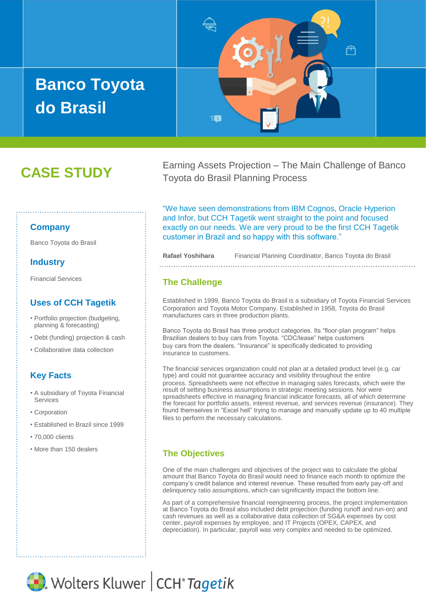# **Banco Toyota do Brasil**



## **CASE STUDY**

Earning Assets Projection – The Main Challenge of Banco Toyota do Brasil Planning Process

#### **Company**

Banco Toyota do Brasil

#### **Industry**

Financial Services

#### **Uses of CCH Tagetik**

- Portfolio projection (budgeting, planning & forecasting)
- Debt (funding) projection & cash
- Collaborative data collection

#### **Key Facts**

- A subsidiary of Toyota Financial Services
- Corporation
- Established in Brazil since 1999
- 70,000 clients
- More than 150 dealers

"We have seen demonstrations from IBM Cognos, Oracle Hyperion and Infor, but CCH Tagetik went straight to the point and focused exactly on our needs. We are very proud to be the first CCH Tagetik customer in Brazil and so happy with this software."

**Rafael Yoshihara** Financial Planning Coordinator, Banco Toyota do Brasil

#### **The Challenge**

Established in 1999, Banco Toyota do Brasil is a subsidiary of Toyota Financial Services Corporation and Toyota Motor Company. Established in 1958, Toyota do Brasil manufactures cars in three production plants.

Banco Toyota do Brasil has three product categories. Its "floor-plan program" helps Brazilian dealers to buy cars from Toyota. "CDC/lease" helps customers buy cars from the dealers. "Insurance" is specifically dedicated to providing insurance to customers.

The financial services organization could not plan at a detailed product level (e.g. car type) and could not guarantee accuracy and visibility throughout the entire process. Spreadsheets were not effective in managing sales forecasts, which were the result of setting business assumptions in strategic meeting sessions. Nor were spreadsheets effective in managing financial indicator forecasts, all of which determine the forecast for portfolio assets, interest revenue, and services revenue (insurance). They found themselves in "Excel hell" trying to manage and manually update up to 40 multiple files to perform the necessary calculations.

#### **The Objectives**

One of the main challenges and objectives of the project was to calculate the global amount that Banco Toyota do Brasil would need to finance each month to optimize the company's credit balance and interest revenue. These resulted from early pay-off and delinquency ratio assumptions, which can significantly impact the bottom line.

As part of a comprehensive financial reengineering process, the project implementation at Banco Toyota do Brasil also included debt projection (funding runoff and run-on) and cash revenues as well as a collaborative data collection of SG&A expenses by cost center, payroll expenses by employee, and IT Projects (OPEX, CAPEX, and depreciation). In particular, payroll was very complex and needed to be optimized.